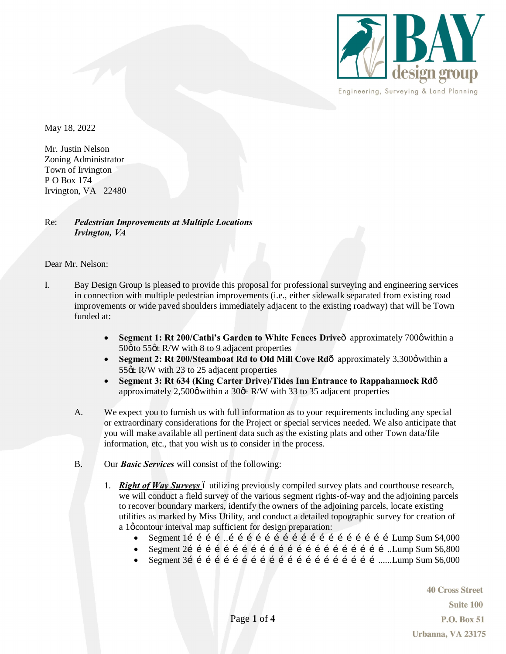

May 18, 2022

Mr. Justin Nelson Zoning Administrator Town of Irvington P O Box 174 Irvington, VA 22480

## Re: *Pedestrian Improvements at Multiple Locations Irvington, VA*

Dear Mr. Nelson:

- I. Bay Design Group is pleased to provide this proposal for professional surveying and engineering services in connection with multiple pedestrian improvements (i.e., either sidewalk separated from existing road improvements or wide paved shoulders immediately adjacent to the existing roadway) that will be Town funded at:
	- **Segment 1: Rt 200/Cathi's Garden to White Fences Drive** approximately 700 $\emptyset$  within a  $50\phi$  to  $55\text{\ensuremath{\triangleleft}}$  R/W with 8 to 9 adjacent properties
	- **Segment 2: Rt 200/Steamboat Rd to Old Mill Cove Rd** $\hat{\text{o}}$  approximately 3,300 $\phi$  within a  $55$   $\&$  R/W with 23 to 25 adjacent properties
	- · **Segment 3: Rt 634 (King Carter Drive)/Tides Inn Entrance to Rappahannock Rd** approximately 2,500 $\phi$  within a 30 $\phi$ ± R/W with 33 to 35 adjacent properties
	- A. We expect you to furnish us with full information as to your requirements including any special or extraordinary considerations for the Project or special services needed. We also anticipate that you will make available all pertinent data such as the existing plats and other Town data/file information, etc., that you wish us to consider in the process.
	- B. Our *Basic Services* will consist of the following:
		- 1. **Right of Way Surveys** 6 utilizing previously compiled survey plats and courthouse research, we will conduct a field survey of the various segment rights-of-way and the adjoining parcels to recover boundary markers, identify the owners of the adjoining parcels, locate existing utilities as marked by Miss Utility, and conduct a detailed topographic survey for creation of a 1 $\phi$  contour interval map sufficient for design preparation:
			- · Segment 1…………..………………………………………………Lump Sum \$4,000
			- · Segment 2…………………………………………………………..Lump Sum \$6,800
			- · Segment 3………………………………………………………......Lump Sum \$6,000

**40 Cross Street Suite 100 P.O. Box 51** Urbanna, VA 23175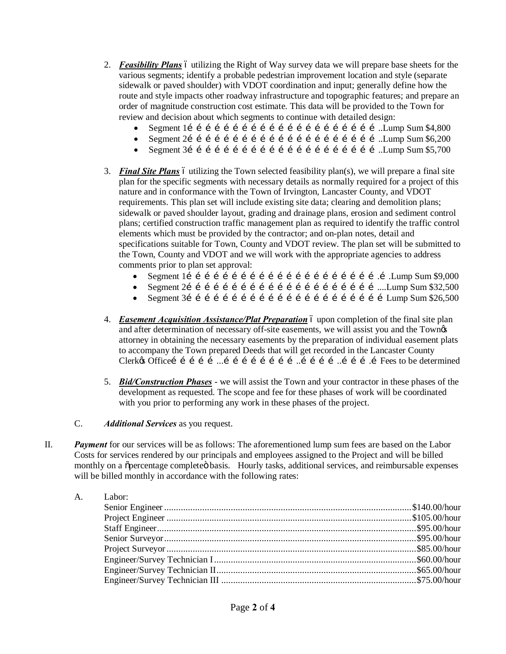- 2. *Feasibility Plans* 6 utilizing the Right of Way survey data we will prepare base sheets for the various segments; identify a probable pedestrian improvement location and style (separate sidewalk or paved shoulder) with VDOT coordination and input; generally define how the route and style impacts other roadway infrastructure and topographic features; and prepare an order of magnitude construction cost estimate. This data will be provided to the Town for review and decision about which segments to continue with detailed design:
	- · Segment 1………………………………………………………..Lump Sum \$4,800
	- · Segment 2………………………………………………………..Lump Sum \$6,200
	- · Segment 3………………………………………………………..Lump Sum \$5,700
- 3. *Final Site Plans* 6 utilizing the Town selected feasibility plan(s), we will prepare a final site plan for the specific segments with necessary details as normally required for a project of this nature and in conformance with the Town of Irvington, Lancaster County, and VDOT requirements. This plan set will include existing site data; clearing and demolition plans; sidewalk or paved shoulder layout, grading and drainage plans, erosion and sediment control plans; certified construction traffic management plan as required to identify the traffic control elements which must be provided by the contractor; and on-plan notes, detail and specifications suitable for Town, County and VDOT review. The plan set will be submitted to the Town, County and VDOT and we will work with the appropriate agencies to address comments prior to plan set approval:
	- · Segment 1……………………………………………………….….Lump Sum \$9,000
	- · Segment 2………………………………………………………....Lump Sum \$32,500
	- · Segment 3…………………………………………………………Lump Sum \$26,500
- 4. *Easement Acquisition Assistance/Plat Preparation* 6 upon completion of the final site plan and after determination of necessary off-site easements, we will assist you and the Townøs attorney in obtaining the necessary easements by the preparation of individual easement plats to accompany the Town prepared Deeds that will get recorded in the Lancaster County Clerk's Office……………...……………………..…………..……….…Fees to be determined
- 5. *Bid/Construction Phases* we will assist the Town and your contractor in these phases of the development as requested. The scope and fee for these phases of work will be coordinated with you prior to performing any work in these phases of the project.
- C. *Additional Services* as you request.
- II. *Payment* for our services will be as follows: The aforementioned lump sum fees are based on the Labor Costs for services rendered by our principals and employees assigned to the Project and will be billed monthly on a õpercentage completeö basis. Hourly tasks, additional services, and reimbursable expenses will be billed monthly in accordance with the following rates:

| A. Labor: |  |
|-----------|--|
|           |  |
|           |  |
|           |  |
|           |  |
|           |  |
|           |  |
|           |  |
|           |  |
|           |  |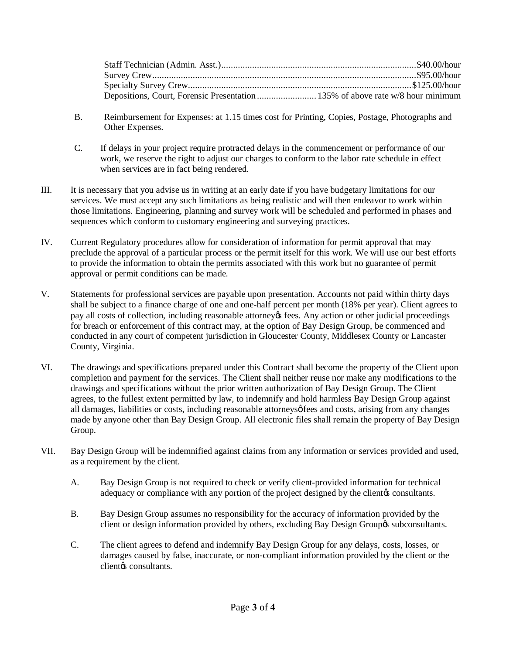- B. Reimbursement for Expenses: at 1.15 times cost for Printing, Copies, Postage, Photographs and Other Expenses.
- C. If delays in your project require protracted delays in the commencement or performance of our work, we reserve the right to adjust our charges to conform to the labor rate schedule in effect when services are in fact being rendered.
- III. It is necessary that you advise us in writing at an early date if you have budgetary limitations for our services. We must accept any such limitations as being realistic and will then endeavor to work within those limitations. Engineering, planning and survey work will be scheduled and performed in phases and sequences which conform to customary engineering and surveying practices.
- IV. Current Regulatory procedures allow for consideration of information for permit approval that may preclude the approval of a particular process or the permit itself for this work. We will use our best efforts to provide the information to obtain the permits associated with this work but no guarantee of permit approval or permit conditions can be made.
- V. Statements for professional services are payable upon presentation. Accounts not paid within thirty days shall be subject to a finance charge of one and one-half percent per month (18% per year). Client agrees to pay all costs of collection, including reasonable attorney's fees. Any action or other judicial proceedings for breach or enforcement of this contract may, at the option of Bay Design Group, be commenced and conducted in any court of competent jurisdiction in Gloucester County, Middlesex County or Lancaster County, Virginia.
- VI. The drawings and specifications prepared under this Contract shall become the property of the Client upon completion and payment for the services. The Client shall neither reuse nor make any modifications to the drawings and specifications without the prior written authorization of Bay Design Group. The Client agrees, to the fullest extent permitted by law, to indemnify and hold harmless Bay Design Group against all damages, liabilities or costs, including reasonable attorneys of fees and costs, arising from any changes made by anyone other than Bay Design Group. All electronic files shall remain the property of Bay Design Group.
- VII. Bay Design Group will be indemnified against claims from any information or services provided and used, as a requirement by the client.
	- A. Bay Design Group is not required to check or verify client-provided information for technical adequacy or compliance with any portion of the project designed by the client to consultants.
	- B. Bay Design Group assumes no responsibility for the accuracy of information provided by the client or design information provided by others, excluding Bay Design Group & subconsultants.
	- C. The client agrees to defend and indemnify Bay Design Group for any delays, costs, losses, or damages caused by false, inaccurate, or non-compliant information provided by the client or the clientos consultants.